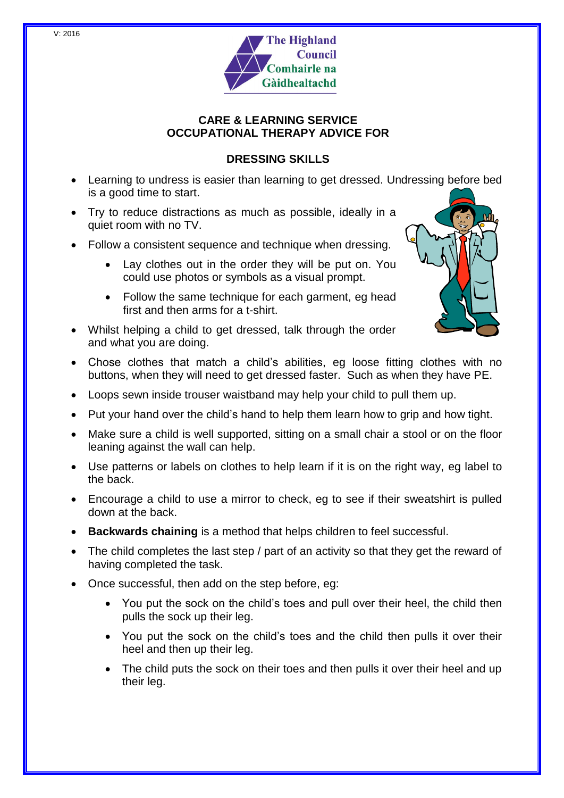

# **CARE & LEARNING SERVICE OCCUPATIONAL THERAPY ADVICE FOR**

# **DRESSING SKILLS**

- Learning to undress is easier than learning to get dressed. Undressing before bed is a good time to start.
- Try to reduce distractions as much as possible, ideally in a quiet room with no TV.
- Follow a consistent sequence and technique when dressing.
	- Lay clothes out in the order they will be put on. You could use photos or symbols as a visual prompt.
	- Follow the same technique for each garment, eg head first and then arms for a t-shirt.
- Whilst helping a child to get dressed, talk through the order and what you are doing.
- Chose clothes that match a child's abilities, eg loose fitting clothes with no buttons, when they will need to get dressed faster. Such as when they have PE.
- Loops sewn inside trouser waistband may help your child to pull them up.
- Put your hand over the child's hand to help them learn how to grip and how tight.
- Make sure a child is well supported, sitting on a small chair a stool or on the floor leaning against the wall can help.
- Use patterns or labels on clothes to help learn if it is on the right way, eg label to the back.
- Encourage a child to use a mirror to check, eg to see if their sweatshirt is pulled down at the back.
- **Backwards chaining** is a method that helps children to feel successful.
- The child completes the last step / part of an activity so that they get the reward of having completed the task.
- Once successful, then add on the step before, eg:
	- You put the sock on the child's toes and pull over their heel, the child then pulls the sock up their leg.
	- You put the sock on the child's toes and the child then pulls it over their heel and then up their leg.
	- The child puts the sock on their toes and then pulls it over their heel and up their leg.